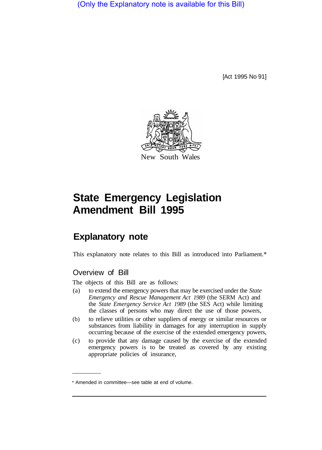(Only the Explanatory note is available for this Bill)

[Act 1995 No 91]



# **State Emergency Legislation Amendment Bill 1995**

## **Explanatory note**

This explanatory note relates to this Bill as introduced into Parliament.\*

### Overview of Bill

The objects of this Bill are as follows:

- (a) to extend the emergency powers that may be exercised under the *State Emergency and Rescue Management Act 1989* (the SERM Act) and the *State Emergency Service Act 1989* (the SES Act) while limiting the classes of persons who may direct the use of those powers,
- (b) to relieve utilities or other suppliers of energy or similar resources or substances from liability in damages for any interruption in supply occurring because of the exercise of the extended emergency powers,
- (c) to provide that any damage caused by the exercise of the extended emergency powers is to be treated as covered by any existing appropriate policies of insurance,

<sup>\*</sup> Amended in committee—see table at end of volume.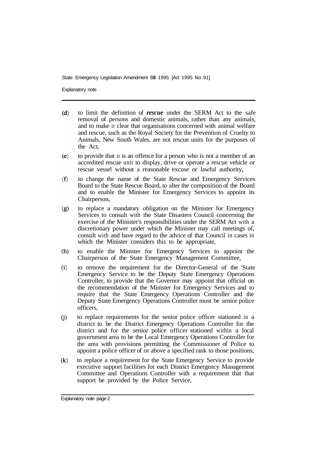Explanatory note

- $(d)$ to limit the definition of *rescue* under the SERM Act to the safe removal of persons and domestic animals, rather than any animals, and to make it clear that organisations concerned with animal welfare and rescue, such as the Royal Society for the Prevention of Cruelty to Animals, New South Wales, are not rescue units for the purposes of the Act,
- to provide that it is an offence for a person who is not a member of an  $(e)$ accredited rescue unit to display, drive or operate a rescue vehicle or rescue vessel without a reasonable excuse or lawful authority,
- $(f)$ to change the name of the State Rescue and Emergency Services Board to the State Rescue Board, to alter the composition of the Board and to enable the Minister for Emergency Services to appoint its Chairperson,
- to replace a mandatory obligation on the Minister for Emergency  $(g)$ Services to consult with the State Disasters Council concerning the exercise of the Minister's responsibilities under the SERM Act with a discretionary power under which the Minister may call meetings of, consult with and have regard to the advice of that Council in cases in which the Minister considers this to be appropriate,
- $(h)$ to enable the Minister for Emergency Services to appoint the Chairperson of the State Emergency Management Committee,
- to remove the requirement for the Director-General of the 'State  $(i)$ Emergency Service to be the Deputy State Emergency Operations Controller, to provide that the Governor may appoint that official on the recommendation of the Minister for Emergency Services and to require that the State Emergency Operations Controller and the Deputy State Emergency Operations Controller must be senior police officers,
- to replace requirements for the senior police officer stationed in a  $(i)$ district to be the District Emergency Operations Controller for the district and for the senior police officer stationed within a local government area to be the Local Emergency Operations Controller for the area with provisions permitting the Commissioner of Police to appoint a police officer of or above a specified rank to those positions,
- $(k)$ to replace a requirement for the State Emergency Service to provide executive support facilities for each District Emergency Management Committee and Operations Controller with a requirement that that support be provided by the Police Service,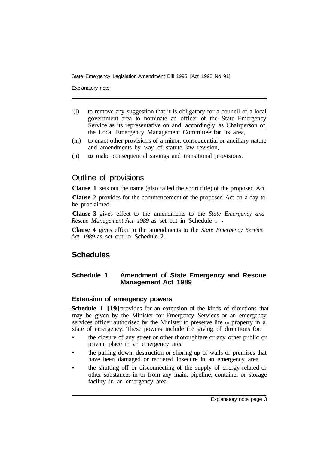Explanatory note

- (l) to remove any suggestion that it is obligatory for a council of a local government area to nominate an officer of the State Emergency Service as its representative on and, accordingly, as Chairperson of, the Local Emergency Management Committee for its area,
- (m) to enact other provisions of a minor, consequential or ancillary nature and amendments by way of statute law revision,
- (n) **to** make consequential savings and transitional provisions.

## Outline of provisions

**Clause 1** sets out the name (also called the short title) of the proposed Act.

**Clause 2** provides for the commencement of the proposed Act on a day to be proclaimed.

**Clause 3** gives effect to the amendments to the *State Emergency and Rescue Management Act 1989* as set out in Schedule 1

**Clause 4** gives effect to the amendments to the *State Emergency Service Act 1989* as set out in Schedule 2.

## **Schedules**

#### **Schedule 1 Amendment of State Emergency and Rescue Management Act 1989**

#### **Extension of emergency powers**

**Schedule 1 [19]** provides for an extension of the kinds of directions that may be given by the Minister for Emergency Services or an emergency services officer authorised by the Minister to preserve life or property in a state of emergency. These powers include the giving of directions for:

- the closure of any street or other thoroughfare or any other public or private place in an emergency area
- the pulling down, destruction or shoring up of walls or premises that have been damaged or rendered insecure in an emergency area
- the shutting off or disconnecting of the supply of energy-related or other substances in or from any main, pipeline, container or storage facility in an emergency area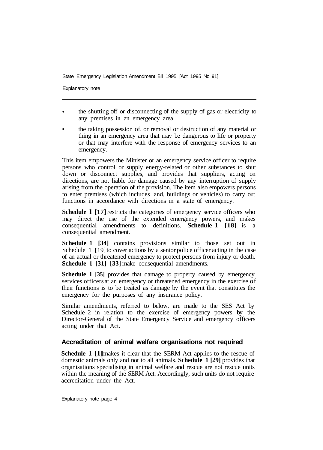Explanatory note

- the shutting off or disconnecting of the supply of gas or electricity to any premises in an emergency area
- the taking possession of, or removal or destruction of any material or thing in an emergency area that may be dangerous to life or property or that may interfere with the response of emergency services to an emergency.

This item empowers the Minister or an emergency service officer to require persons who control or supply energy-related or other substances to shut down or disconnect supplies, and provides that suppliers, acting on directions, are not liable for damage caused by any interruption of supply arising from the operation of the provision. The item also empowers persons to enter premises (which includes land, buildings or vehicles) to carry out functions in accordance with directions in a state of emergency.

**Schedule 1 [17]** restricts the categories of emergency service officers who may direct the use of the extended emergency powers, and makes consequential amendments to definitions. **Schedule 1 [18]** is a consequential amendment.

**Schedule 1 [34]** contains provisions similar to those set out in Schedule 1 [19] to cover actions by a senior police officer acting in the case of an actual or threatened emergency to protect persons from injury or death. **Schedule 1 [31]–[33]** make consequential amendments.

**Schedule 1 [35]** provides that damage to property caused by emergency services officers at an emergency or threatened emergency in the exercise of their functions is to be treated as damage by the event that constitutes the emergency for the purposes of any insurance policy.

Similar amendments, referred to below, are made to the SES Act by Schedule 2 in relation to the exercise of emergency powers by the Director-General of the State Emergency Service and emergency officers acting under that Act.

#### **Accreditation of animal welfare organisations not required**

**Schedule 1 [1]** makes it clear that the SERM Act applies to the rescue of domestic animals only and not to all animals. **Schedule 1 [29]** provides that organisations specialising in animal welfare and rescue are not rescue units within the meaning of the SERM Act. Accordingly, such units do not require accreditation under the Act.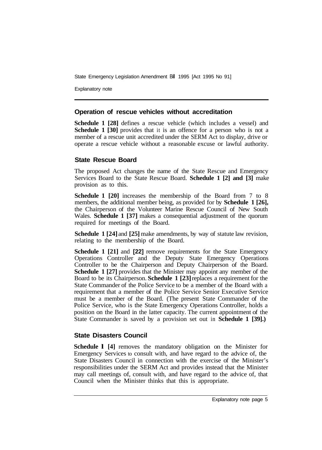Explanatory note

#### **Operation of rescue vehicles without accreditation**

**Schedule 1 [28]** defines a rescue vehicle (which includes a vessel) and **Schedule 1 [30]** provides that it is an offence for a person who is not a member of a rescue unit accredited under the SERM Act to display, drive or operate a rescue vehicle without a reasonable excuse or lawful authority.

#### **State Rescue Board**

The proposed Act changes the name of the State Rescue and Emergency Services Board to the State Rescue Board. **Schedule 1 [2] and [3]** make provision as to this.

**Schedule 1 [20]** increases the membership of the Board from 7 to 8 members, the additional member being, as provided for by **Schedule 1 [26],**  the Chairperson of the Volunteer Marine Rescue Council of New South Wales. **Schedule 1 [37]** makes a consequential adjustment of the quorum required for meetings of the Board.

**Schedule 1 [24] and [25] make amendments, by way of statute law revision,** relating to the membership of the Board.

**Schedule 1 [21]** and **[22]** remove requirements for the State Emergency Operations Controller and the Deputy State Emergency Operations Controller to be the Chairperson and Deputy Chairperson of the Board. **Schedule 1 [27]** provides that the Minister may appoint any member of the Board to be its Chairperson. **Schedule 1 [23]** replaces a requirement for the State Commander of the Police Service to be a member of the Board with a requirement that a member of the Police Service Senior Executive Service must be a member of the Board. (The present State Commander of the Police Service, who is the State Emergency Operations Controller, holds a position on the Board in the latter capacity. The current appointment of the State Commander is saved by a provision set out in **Schedule 1 [39].)** 

#### **State Disasters Council**

**Schedule 1 [4]** removes the mandatory obligation on the Minister for Emergency Services to consult with, and have regard to the advice of, the State Disasters Council in connection with the exercise of the Minister's responsibilities under the SERM Act and provides instead that the Minister may call meetings of, consult with, and have regard to the advice of, that Council when the Minister thinks that this is appropriate.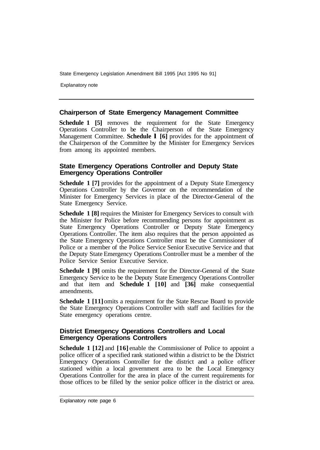Explanatory note

#### **Chairperson of State Emergency Management Committee**

**Schedule 1 [5]** removes the requirement for the State Emergency Operations Controller to be the Chairperson of the State Emergency Management Committee. **Schedule l [6]** provides for the appointment of the Chairperson of the Committee by the Minister for Emergency Services from among its appointed members.

#### **State Emergency Operations Controller and Deputy State Emergency Operations Controller**

**Schedule 1 [7]** provides for the appointment of a Deputy State Emergency Operations Controller by the Governor on the recommendation of the Minister for Emergency Services in place of the Director-General of the State Emergency Service.

**Schedule 1 [8] requires the Minister for Emergency Services to consult with** the Minister for Police before recommending persons for appointment as State Emergency Operations Controller or Deputy State Emergency Operations Controller. The item also requires that the person appointed as the State Emergency Operations Controller must be the Commissioner of Police or a member of the Police Service Senior Executive Service and that the Deputy State Emergency Operations Controller must be a member of the Police Service Senior Executive Service.

**Schedule 1 [9]** omits the requirement for the Director-General of the State Emergency Service to be the Deputy State Emergency Operations Controller and that item and **Schedule 1 [10]** and **[36]** make consequential amendments.

**Schedule 1 [11]** omits a requirement for the State Rescue Board to provide the State Emergency Operations Controller with staff and facilities for the State emergency operations centre.

#### **District Emergency Operations Controllers and Local Emergency Operations Controllers**

**Schedule 1 [12]** and **[16]** enable the Commissioner of Police to appoint a police officer of a specified rank stationed within a district to be the District Emergency Operations Controller for the district and a police officer stationed within a local government area to be the Local Emergency Operations Controller for the area in place of the current requirements for those offices to be filled by the senior police officer in the district or area.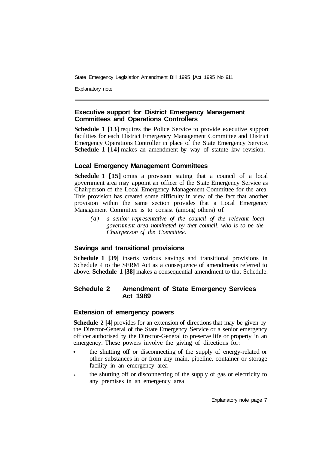Explanatory note

#### **Executive support for District Emergency Management Committees and Operations Controllers**

**Schedule 1 [13] requires the Police Service to provide executive support** facilities for each District Emergency Management Committee and District Emergency Operations Controller in place of the State Emergency Service. **Schedule 1 [14]** makes an amendment by way of statute law revision.

#### **Local Emergency Management Committees**

**Schedule 1 [15]** omits a provision stating that a council of a local government area may appoint an officer of the State Emergency Service as Chairperson of the Local Emergency Management Committee for the area. This provision has created some difficulty in view of the fact that another provision within the same section provides that a Local Emergency Management Committee is to consist (among others) of

*(a) a senior representative of the council of the relevant local government area nominated by that council, who is to be the Chairperson of the Committee.* 

#### **Savings and transitional provisions**

**Schedule 1 [39]** inserts various savings and transitional provisions in Schedule 4 to the SERM Act as a consequence of amendments referred to above. **Schedule 1 [38]** makes a consequential amendment to that Schedule.

#### **Schedule 2 Amendment of State Emergency Services Act 1989**

#### **Extension of emergency powers**

**Schedule 2 [4]** provides for an extension of directions that may be given by the Director-General of the State Emergency Service or a senior emergency officer authorised by the Director-General to preserve life or property in an emergency. These powers involve the giving of directions for:

- the shutting off or disconnecting of the supply of energy-related or other substances in or from any main, pipeline, container or storage facility in an emergency area
- the shutting off or disconnecting of the supply of gas or electricity to any premises in an emergency area